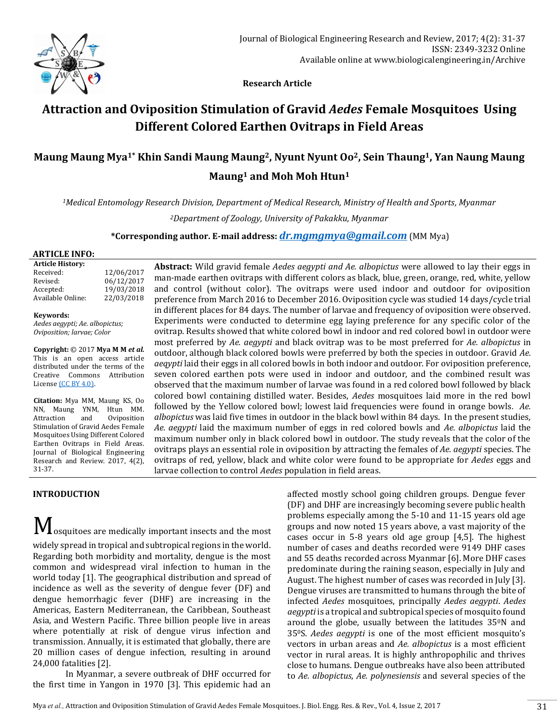

 **Research Article**

# **Attraction and Oviposition Stimulation of Gravid** *Aedes* **Female Mosquitoes Using Different Colored Earthen Ovitraps in Field Areas**

## **Maung Maung Mya1\* Khin Sandi Maung Maung2, Nyunt Nyunt Oo2, Sein Thaung1, Yan Naung Maung Maung<sup>1</sup> and Moh Moh Htun<sup>1</sup>**

*<sup>1</sup>Medical Entomology Research Division, Department of Medical Research, Ministry of Health and Sports, Myanmar*

*<sup>2</sup>Department of Zoology, University of Pakakku, Myanmar*

**\*Corresponding author. E-mail address:** *[dr.mgmgmya@gmail.com](mailto:dr.mgmgmya@gmail.com)* (MM Mya)

#### **ARTICLE INFO:**

**Article History:** Received: 12/06/2017 Revised: 06/12/2017 Accepted: 19/03/2018 Available Online: 22/03/2018

#### **Keywords:**

*Aedes aegypti; Ae. albopictus; Oviposition; larvae; Color*

**Copyright:** © 2017 **Mya M M** *et al.* This is an open access article distributed under the terms of the Creative Commons Attribution Licens[e \(CC BY 4.0\).](https://creativecommons.org/licenses/by/4.0/)

**Citation:** Mya MM, Maung KS, Oo NN, Maung YNM, Htun MM. Attraction and Oviposition Stimulation of Gravid Aedes Female Mosquitoes Using Different Colored Earthen Ovitraps in Field Areas. Journal of Biological Engineering Research and Review. 2017, 4(2), 31-37.

## **INTRODUCTION**

 $\bf M$  osquitoes are medically important insects and the most widely spread in tropical and subtropical regions in the world. Regarding both morbidity and mortality, dengue is the most common and widespread viral infection to human in the world today [1]. The geographical distribution and spread of incidence as well as the severity of dengue fever (DF) and dengue hemorrhagic fever (DHF) are increasing in the Americas, Eastern Mediterranean, the Caribbean, Southeast Asia, and Western Pacific. Three billion people live in areas where potentially at risk of dengue virus infection and transmission. Annually, it is estimated that globally, there are 20 million cases of dengue infection, resulting in around 24,000 fatalities [2].

In Myanmar, a severe outbreak of DHF occurred for the first time in Yangon in 1970 [3]. This epidemic had an

**Abstract:** Wild gravid female *Aedes aegypti and Ae. albopictus* were allowed to lay their eggs in man-made earthen ovitraps with different colors as black, blue, green, orange, red, white, yellow and control (without color). The ovitraps were used indoor and outdoor for oviposition preference from March 2016 to December 2016. Oviposition cycle was studied 14 days/cycle trial in different places for 84 days. The number of larvae and frequency of oviposition were observed. Experiments were conducted to determine egg laying preference for any specific color of the ovitrap. Results showed that white colored bowl in indoor and red colored bowl in outdoor were most preferred by *Ae. aegypti* and black ovitrap was to be most preferred for *Ae. albopictus* in outdoor, although black colored bowls were preferred by both the species in outdoor. Gravid *Ae. aeqypti* laid their eggs in all colored bowls in both indoor and outdoor. For oviposition preference, seven colored earthen pots were used in indoor and outdoor, and the combined result was observed that the maximum number of larvae was found in a red colored bowl followed by black colored bowl containing distilled water. Besides, *Aedes* mosquitoes laid more in the red bowl followed by the Yellow colored bowl; lowest laid frequencies were found in orange bowls*. Ae. albopictus* was laid five times in outdoor in the black bowl within 84 days. In the present studies*, Ae. aegypti* laid the maximum number of eggs in red colored bowls and *Ae. albopictus* laid the maximum number only in black colored bowl in outdoor. The study reveals that the color of the ovitraps plays an essential role in oviposition by attracting the females of *Ae. aegypti* species. The ovitraps of red, yellow, black and white color were found to be appropriate for *Aedes* eggs and larvae collection to control *Aedes* population in field areas.

> affected mostly school going children groups. Dengue fever (DF) and DHF are increasingly becoming severe public health problems especially among the 5-10 and 11-15 years old age groups and now noted 15 years above, a vast majority of the cases occur in 5-8 years old age group [4,5]. The highest number of cases and deaths recorded were 9149 DHF cases and 55 deaths recorded across Myanmar [6]. More DHF cases predominate during the raining season, especially in July and August. The highest number of cases was recorded in July [3]. Dengue viruses are transmitted to humans through the bite of infected *Aedes* mosquitoes, principally *Aedes aegypti*. *Aedes aegypti* is a tropical and subtropical species of mosquito found around the globe, usually between the latitudes 350N and 350S. *Aedes aegypti* is one of the most efficient mosquito's vectors in urban areas and *Ae. albopictus* is a most efficient vector in rural areas. It is highly anthropophilic and thrives close to humans. Dengue outbreaks have also been attributed to *Ae. albopictus*, *Ae. polynesiensis* and several species of the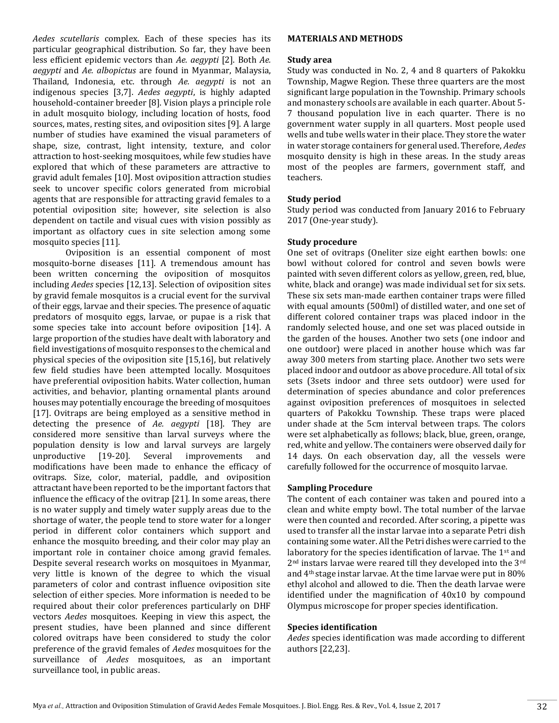*Aedes scutellaris* complex. Each of these species has its particular geographical distribution. So far, they have been less efficient epidemic vectors than *Ae. aegypti* [2]. Both *Ae. aegypti* and *Ae. albopictus* are found in Myanmar, Malaysia, Thailand, Indonesia, etc. through *Ae. aegypti* is not an indigenous species [3,7]. *Aedes aegypti*, is highly adapted household-container breeder [8]. Vision plays a principle role in adult mosquito biology, including location of hosts, food sources, mates, resting sites, and oviposition sites [9]. A large number of studies have examined the visual parameters of shape, size, contrast, light intensity, texture, and color attraction to host-seeking mosquitoes, while few studies have explored that which of these parameters are attractive to gravid adult females [10]. Most oviposition attraction studies seek to uncover specific colors generated from microbial agents that are responsible for attracting gravid females to a potential oviposition site; however, site selection is also dependent on tactile and visual cues with vision possibly as important as olfactory cues in site selection among some mosquito species [11].

Oviposition is an essential component of most mosquito-borne diseases [11]. A tremendous amount has been written concerning the oviposition of mosquitos including *Aedes* species [12,13]. Selection of oviposition sites by gravid female mosquitos is a crucial event for the survival of their eggs, larvae and their species. The presence of aquatic predators of mosquito eggs, larvae, or pupae is a risk that some species take into account before oviposition [14]. A large proportion of the studies have dealt with laboratory and field investigations of mosquito responses to the chemical and physical species of the oviposition site [15,16], but relatively few field studies have been attempted locally. Mosquitoes have preferential oviposition habits. Water collection, human activities, and behavior, planting ornamental plants around houses may potentially encourage the breeding of mosquitoes [17]. Ovitraps are being employed as a sensitive method in detecting the presence of *Ae. aegypti* [18]. They are considered more sensitive than larval surveys where the population density is low and larval surveys are largely unproductive [19-20]. Several improvements and modifications have been made to enhance the efficacy of ovitraps. Size, color, material, paddle, and oviposition attractant have been reported to be the important factors that influence the efficacy of the ovitrap [21]. In some areas, there is no water supply and timely water supply areas due to the shortage of water, the people tend to store water for a longer period in different color containers which support and enhance the mosquito breeding, and their color may play an important role in container choice among gravid females. Despite several research works on mosquitoes in Myanmar, very little is known of the degree to which the visual parameters of color and contrast influence oviposition site selection of either species. More information is needed to be required about their color preferences particularly on DHF vectors *Aedes* mosquitoes. Keeping in view this aspect, the present studies, have been planned and since different colored ovitraps have been considered to study the color preference of the gravid females of *Aedes* mosquitoes for the surveillance of *Aedes* mosquitoes, as an important surveillance tool, in public areas.

#### **MATERIALS AND METHODS**

#### **Study area**

Study was conducted in No. 2, 4 and 8 quarters of Pakokku Township, Magwe Region. These three quarters are the most significant large population in the Township. Primary schools and monastery schools are available in each quarter. About 5- 7 thousand population live in each quarter. There is no government water supply in all quarters. Most people used wells and tube wells water in their place. They store the water in water storage containers for general used. Therefore, *Aedes*  mosquito density is high in these areas. In the study areas most of the peoples are farmers, government staff, and teachers.

## **Study period**

Study period was conducted from January 2016 to February 2017 (One-year study).

## **Study procedure**

One set of ovitraps (Oneliter size eight earthen bowls: one bowl without colored for control and seven bowls were painted with seven different colors as yellow, green, red, blue, white, black and orange) was made individual set for six sets. These six sets man-made earthen container traps were filled with equal amounts (500ml) of distilled water, and one set of different colored container traps was placed indoor in the randomly selected house, and one set was placed outside in the garden of the houses. Another two sets (one indoor and one outdoor) were placed in another house which was far away 300 meters from starting place. Another two sets were placed indoor and outdoor as above procedure. All total of six sets (3sets indoor and three sets outdoor) were used for determination of species abundance and color preferences against oviposition preferences of mosquitoes in selected quarters of Pakokku Township. These traps were placed under shade at the 5cm interval between traps. The colors were set alphabetically as follows; black, blue, green, orange, red, white and yellow. The containers were observed daily for 14 days. On each observation day, all the vessels were carefully followed for the occurrence of mosquito larvae.

## **Sampling Procedure**

The content of each container was taken and poured into a clean and white empty bowl. The total number of the larvae were then counted and recorded. After scoring, a pipette was used to transfer all the instar larvae into a separate Petri dish containing some water. All the Petri dishes were carried to the laboratory for the species identification of larvae. The 1st and 2nd instars larvae were reared till they developed into the 3rd and 4th stage instar larvae. At the time larvae were put in 80% ethyl alcohol and allowed to die. Then the death larvae were identified under the magnification of 40x10 by compound Olympus microscope for proper species identification.

## **Species identification**

*Aedes* species identification was made according to different authors [22,23].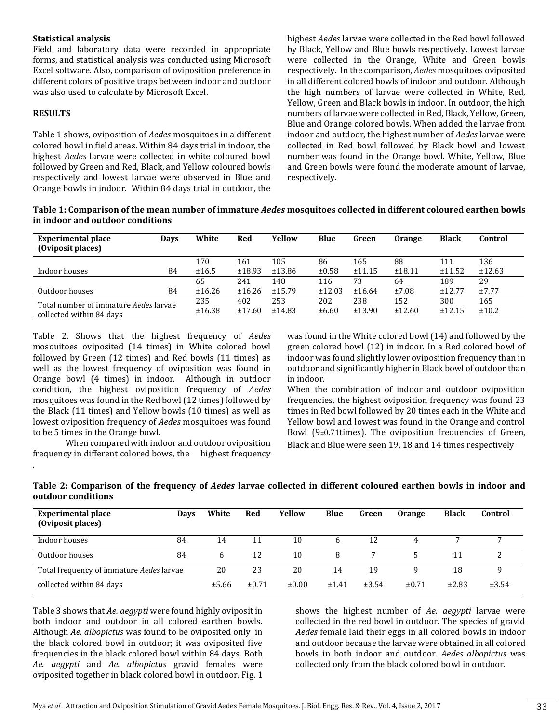#### **Statistical analysis**

Field and laboratory data were recorded in appropriate forms, and statistical analysis was conducted using Microsoft Excel software. Also, comparison of oviposition preference in different colors of positive traps between indoor and outdoor was also used to calculate by Microsoft Excel.

#### **RESULTS**

.

Table 1 shows, oviposition of *Aedes* mosquitoes in a different colored bowl in field areas. Within 84 days trial in indoor, the highest *Aedes* larvae were collected in white coloured bowl followed by Green and Red, Black, and Yellow coloured bowls respectively and lowest larvae were observed in Blue and Orange bowls in indoor. Within 84 days trial in outdoor, the

highest *Aedes* larvae were collected in the Red bowl followed by Black, Yellow and Blue bowls respectively. Lowest larvae were collected in the Orange, White and Green bowls respectively. In the comparison, *Aedes* mosquitoes oviposited in all different colored bowls of indoor and outdoor. Although the high numbers of larvae were collected in White, Red, Yellow, Green and Black bowls in indoor. In outdoor, the high numbers of larvae were collected in Red, Black, Yellow, Green, Blue and Orange colored bowls. When added the larvae from indoor and outdoor, the highest number of *Aedes* larvae were collected in Red bowl followed by Black bowl and lowest number was found in the Orange bowl. White, Yellow, Blue and Green bowls were found the moderate amount of larvae, respectively.

**Table 1: Comparison of the mean number of immature** *Aedes* **mosquitoes collected in different coloured earthen bowls in indoor and outdoor conditions**

| <b>Experimental place</b><br>(Oviposit places) | Days | White  | Red    | Yellow | <b>Blue</b> | Green  | <b>Orange</b> | <b>Black</b> | Control |
|------------------------------------------------|------|--------|--------|--------|-------------|--------|---------------|--------------|---------|
|                                                |      | 170    | 161    | 105    | 86          | 165    | 88            | 111          | 136     |
| Indoor houses                                  | 84   | ±16.5  | ±18.93 | ±13.86 | $\pm 0.58$  | ±11.15 | ±18.11        | ±11.52       | ±12.63  |
|                                                |      | 65     | 241    | 148    | 116         | 73     | 64            | 189          | 29      |
| Outdoor houses                                 | 84   | ±16.26 | ±16.26 | ±15.79 | ±12.03      | ±16.64 | ±7.08         | ±12.77       | ±7.77   |
| Total number of immature Aedes larvae          |      | 235    | 402    | 253    | 202         | 238    | 152           | 300          | 165     |
| collected within 84 days                       |      | ±16.38 | ±17.60 | ±14.83 | ±6.60       | ±13.90 | ±12.60        | ±12.15       | ±10.2   |

Table 2. Shows that the highest frequency of *Aedes*  mosquitoes oviposited (14 times) in White colored bowl followed by Green (12 times) and Red bowls (11 times) as well as the lowest frequency of oviposition was found in Orange bowl (4 times) in indoor. Although in outdoor condition, the highest oviposition frequency of *Aedes* mosquitoes was found in the Red bowl (12 times) followed by the Black (11 times) and Yellow bowls (10 times) as well as lowest oviposition frequency of *Aedes* mosquitoes was found to be 5 times in the Orange bowl.

When compared with indoor and outdoor oviposition frequency in different colored bows, the highest frequency

was found in the White colored bowl (14) and followed by the green colored bowl (12) in indoor. In a Red colored bowl of indoor was found slightly lower oviposition frequency than in outdoor and significantly higher in Black bowl of outdoor than in indoor.

When the combination of indoor and outdoor oviposition frequencies, the highest oviposition frequency was found 23 times in Red bowl followed by 20 times each in the White and Yellow bowl and lowest was found in the Orange and control Bowl ( $9\pm0.71$ times). The oviposition frequencies of Green, Black and Blue were seen 19, 18 and 14 times respectively

| <b>Experimental place</b><br>(Oviposit places) | Days  | White | Red        | Yellow | Blue         | Green      | <b>Orange</b> | <b>Black</b> | Control |
|------------------------------------------------|-------|-------|------------|--------|--------------|------------|---------------|--------------|---------|
| Indoor houses                                  | 84    | 14    | 11         | 10     | <sub>b</sub> | 12         | 4             |              | ⇁       |
| Outdoor houses                                 | 84    | 6     | 12         | 10     | 8            |            |               |              |         |
| Total frequency of immature Aedes larvae       | 20    | 23    | 20         | 14     | 19           |            | 18            | q            |         |
| collected within 84 days                       | ±5.66 | ±0.71 | $\pm 0.00$ | ±1.41  | ±3.54        | $\pm 0.71$ | ±2.83         | ±3.54        |         |

**Table 2: Comparison of the frequency of** *Aedes* **larvae collected in different coloured earthen bowls in indoor and outdoor conditions**

Table 3 shows that *Ae. aegypti* were found highly oviposit in both indoor and outdoor in all colored earthen bowls. Although *Ae. albopictus* was found to be oviposited only in the black colored bowl in outdoor; it was oviposited five frequencies in the black colored bowl within 84 days. Both *Ae. aegypti* and *Ae. albopictus* gravid females were oviposited together in black colored bowl in outdoor. Fig. 1

shows the highest number of *Ae. aegypti* larvae were collected in the red bowl in outdoor. The species of gravid *Aedes* female laid their eggs in all colored bowls in indoor and outdoor because the larvae were obtained in all colored bowls in both indoor and outdoor. *Aedes albopictus* was collected only from the black colored bowl in outdoor.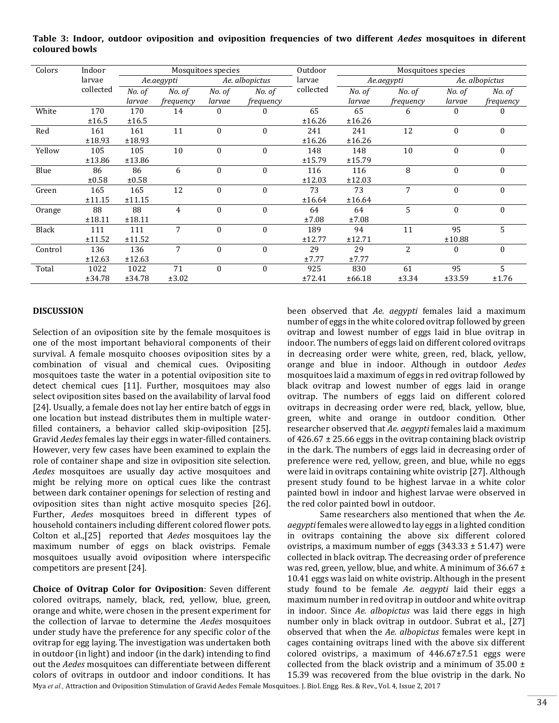| Colors  | Indoor    | Mosquitoes species |           |                |           | Outdoor   | Mosquitoes species |           |                  |                  |
|---------|-----------|--------------------|-----------|----------------|-----------|-----------|--------------------|-----------|------------------|------------------|
| larvae  |           | Ae.aegypti         |           | Ae. albopictus |           | larvae    | Ae.aegypti         |           | Ae. albopictus   |                  |
|         | collected | No. of             | No. of    | No. of         | No. of    | collected | No. of             | No. of    | No. of           | No. of           |
|         |           | larvae             | frequency | larvae         | frequency |           | larvae             | frequency | larvae           | <i>frequency</i> |
| White   | 170       | 170                | 14        | $\mathbf{0}$   | $\theta$  | 65        | 65                 | 6         | $\mathbf{0}$     |                  |
|         | ±16.5     | ±16.5              |           |                |           | ±16.26    | ±16.26             |           |                  |                  |
| Red     | 161       | 161                | 11        | $\mathbf{0}$   | $\Omega$  | 241       | 241                | 12        | $\boldsymbol{0}$ | $\Omega$         |
|         | ±18.93    | ±18.93             |           |                |           | ±16.26    | ±16.26             |           |                  |                  |
| Yellow  | 105       | 105                | 10        | $\mathbf{0}$   | $\bf{0}$  | 148       | 148                | 10        | $\boldsymbol{0}$ | 0                |
|         | ±13.86    | ±13.86             |           |                |           | ±15.79    | ±15.79             |           |                  |                  |
| Blue    | 86        | 86                 | 6         | $\mathbf{0}$   | $\Omega$  | 116       | 116                | 8         | $\theta$         | $\Omega$         |
|         | ±0.58     | ±0.58              |           |                |           | ±12.03    | ±12.03             |           |                  |                  |
| Green   | 165       | 165                | 12        | $\mathbf{0}$   | $\Omega$  | 73        | 73                 | 7         | $\boldsymbol{0}$ |                  |
|         | ±11.15    | ±11.15             |           |                |           | ±16.64    | ±16.64             |           |                  |                  |
| Orange  | 88        | 88                 | 4         | $\mathbf{0}$   | $\Omega$  | 64        | 64                 | 5         | $\boldsymbol{0}$ | $\Omega$         |
|         | ±18.11    | ±18.11             |           |                |           | ±7.08     | ±7.08              |           |                  |                  |
| Black   | 111       | 111                | 7         | $\theta$       | $\Omega$  | 189       | 94                 | 11        | 95               | 5                |
|         | ±11.52    | ±11.52             |           |                |           | ±12.77    | ±12.71             |           | ±10.88           |                  |
| Control | 136       | 136                | 7         | $\theta$       | $\Omega$  | 29        | 29                 | 2         | 0                | $\Omega$         |
|         | ±12.63    | ±12.63             |           |                |           | ±7.77     | ±7.77              |           |                  |                  |
| Total   | 1022      | 1022               | 71        | $\mathbf{0}$   | $\theta$  | 925       | 830                | 61        | 95               | 5.               |
|         | ±34.78    | ±34.78             | ±3.02     |                |           | ±72.41    | ±66.18             | ±3.34     | ±33.59           | ±1.76            |

**Table 3: Indoor, outdoor oviposition and oviposition frequencies of two different** *Aedes* **mosquitoes in diferent coloured bowls**

#### **DISCUSSION**

Selection of an oviposition site by the female mosquitoes is one of the most important behavioral components of their survival. A female mosquito chooses oviposition sites by a combination of visual and chemical cues. Ovipositing mosquitoes taste the water in a potential oviposition site to detect chemical cues [11]. Further, mosquitoes may also select oviposition sites based on the availability of larval food [24]. Usually, a female does not lay her entire batch of eggs in one location but instead distributes them in multiple waterfilled containers, a behavior called skip-oviposition [25]. Gravid *Aedes* females lay their eggs in water-filled containers. However, very few cases have been examined to explain the role of container shape and size in oviposition site selection. *Aedes* mosquitoes are usually day active mosquitoes and might be relying more on optical cues like the contrast between dark container openings for selection of resting and oviposition sites than night active mosquito species [26]. Further, *Aedes* mosquitoes breed in different types of household containers including different colored flower pots. Colton et al.,[25] reported that *Aedes* mosquitoes lay the maximum number of eggs on black ovistrips. Female mosquitoes usually avoid oviposition where interspecific competitors are present [24].

**Choice of Ovitrap Color for Oviposition**: Seven different colored ovitraps, namely, black, red, yellow, blue, green, orange and white, were chosen in the present experiment for the collection of larvae to determine the *Aedes* mosquitoes under study have the preference for any specific color of the ovitrap for egg laying. The investigation was undertaken both in outdoor (in light) and indoor (in the dark) intending to find out the *Aedes* mosquitoes can differentiate between different colors of ovitraps in outdoor and indoor conditions. It has

been observed that *Ae. aegypti* females laid a maximum number of eggs in the white colored ovitrap followed by green ovitrap and lowest number of eggs laid in blue ovitrap in indoor. The numbers of eggs laid on different colored ovitraps in decreasing order were white, green, red, black, yellow, orange and blue in indoor. Although in outdoor *Aedes* mosquitoes laid a maximum of eggs in red ovitrap followed by black ovitrap and lowest number of eggs laid in orange ovitrap. The numbers of eggs laid on different colored ovitraps in decreasing order were red, black, yellow, blue, green, white and orange in outdoor condition. Other researcher observed that *Ae. aegypti* females laid a maximum of  $426.67 \pm 25.66$  eggs in the ovitrap containing black ovistrip in the dark. The numbers of eggs laid in decreasing order of preference were red, yellow, green, and blue, while no eggs were laid in ovitraps containing white ovistrip [27]. Although present study found to be highest larvae in a white color painted bowl in indoor and highest larvae were observed in the red color painted bowl in outdoor.

Same researchers also mentioned that when the *Ae. aegypti* females were allowed to lay eggs in a lighted condition in ovitraps containing the above six different colored ovistrips, a maximum number of eggs  $(343.33 \pm 51.47)$  were collected in black ovitrap. The decreasing order of preference was red, green, yellow, blue, and white. A minimum of 36.67 ± 10.41 eggs was laid on white ovistrip. Although in the present study found to be female *Ae. aegypti* laid their eggs a maximum number in red ovitrap in outdoor and white ovitrap in indoor. Since *Ae. albopictus* was laid there eggs in high number only in black ovitrap in outdoor. Subrat et al., [27] observed that when the *Ae. albopictus* females were kept in cages containing ovitraps lined with the above six different colored ovistrips, a maximum of  $446.67 \pm 7.51$  eggs were collected from the black ovistrip and a minimum of  $35.00 \pm$ 15.39 was recovered from the blue ovistrip in the dark. No

Mya *et al.,* Attraction and Oviposition Stimulation of Gravid Aedes Female Mosquitoes. J. Biol. Engg. Res. & Rev., Vol. 4, Issue 2, 2017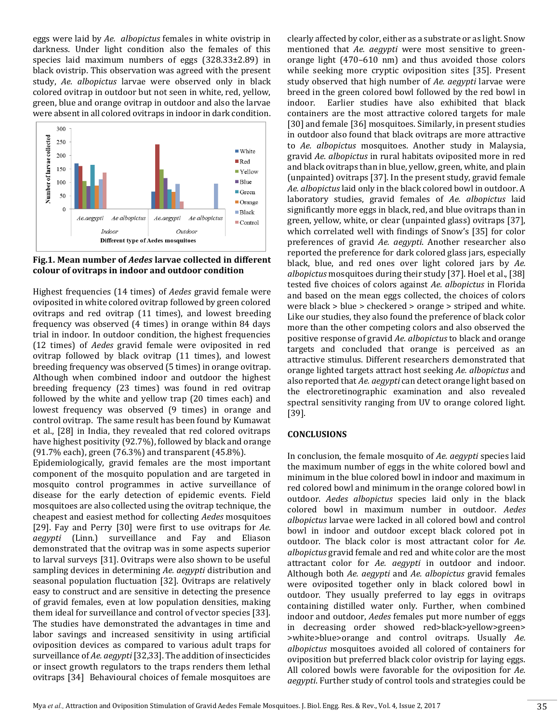eggs were laid by *Ae. albopictus* females in white ovistrip in darkness. Under light condition also the females of this species laid maximum numbers of eggs (328.33±2.89) in black ovistrip. This observation was agreed with the present study, *Ae. albopictus* larvae were observed only in black colored ovitrap in outdoor but not seen in white, red, yellow, green, blue and orange ovitrap in outdoor and also the larvae were absent in all colored ovitraps in indoor in dark condition.



**Fig.1. Mean number of** *Aedes* **larvae collected in different colour of ovitraps in indoor and outdoor condition**

Highest frequencies (14 times) of *Aedes* gravid female were oviposited in white colored ovitrap followed by green colored ovitraps and red ovitrap (11 times), and lowest breeding frequency was observed (4 times) in orange within 84 days trial in indoor. In outdoor condition, the highest frequencies (12 times) of *Aedes* gravid female were oviposited in red ovitrap followed by black ovitrap (11 times), and lowest breeding frequency was observed (5 times) in orange ovitrap. Although when combined indoor and outdoor the highest breeding frequency (23 times) was found in red ovitrap followed by the white and yellow trap (20 times each) and lowest frequency was observed (9 times) in orange and control ovitrap. The same result has been found by Kumawat et al., [28] in India, they revealed that red colored ovitraps have highest positivity (92.7%), followed by black and orange (91.7% each), green (76.3%) and transparent (45.8%).

Epidemiologically, gravid females are the most important component of the mosquito population and are targeted in mosquito control programmes in active surveillance of disease for the early detection of epidemic events. Field mosquitoes are also collected using the ovitrap technique, the cheapest and easiest method for collecting *Aedes* mosquitoes [29]. Fay and Perry [30] were first to use ovitraps for *Ae. aegypti* (Linn.) surveillance and Fay and Eliason demonstrated that the ovitrap was in some aspects superior to larval surveys [31]. Ovitraps were also shown to be useful sampling devices in determining *Ae. aegypti* distribution and seasonal population fluctuation [32]. Ovitraps are relatively easy to construct and are sensitive in detecting the presence of gravid females, even at low population densities, making them ideal for surveillance and control of vector species [33]. The studies have demonstrated the advantages in time and labor savings and increased sensitivity in using artificial oviposition devices as compared to various adult traps for surveillance of *Ae. aegypti*[32,33]. The addition of insecticides or insect growth regulators to the traps renders them lethal ovitraps [34] Behavioural choices of female mosquitoes are

clearly affected by color, either as a substrate or as light. Snow mentioned that *Ae. aegypti* were most sensitive to greenorange light (470–610 nm) and thus avoided those colors while seeking more cryptic oviposition sites [35]. Present study observed that high number of *Ae. aegypti* larvae were breed in the green colored bowl followed by the red bowl in indoor. Earlier studies have also exhibited that black containers are the most attractive colored targets for male [30] and female [36] mosquitoes. Similarly, in present studies in outdoor also found that black ovitraps are more attractive to *Ae. albopictus* mosquitoes. Another study in Malaysia, gravid *Ae. albopictus* in rural habitats oviposited more in red and black ovitraps than in blue, yellow, green, white, and plain (unpainted) ovitraps [37]. In the present study, gravid female *Ae. albopictus* laid only in the black colored bowl in outdoor. A laboratory studies, gravid females of *Ae. albopictus* laid significantly more eggs in black, red, and blue ovitraps than in green, yellow, white, or clear (unpainted glass) ovitraps [37], which correlated well with findings of Snow's [35] for color preferences of gravid *Ae. aegypti*. Another researcher also reported the preference for dark colored glass jars, especially black, blue, and red ones over light colored jars by *Ae. albopictus* mosquitoes during their study [37]. Hoel et al., [38] tested five choices of colors against *Ae. albopictus* in Florida and based on the mean eggs collected, the choices of colors were black > blue > checkered > orange > striped and white. Like our studies, they also found the preference of black color more than the other competing colors and also observed the positive response of gravid *Ae. albopictus* to black and orange targets and concluded that orange is perceived as an attractive stimulus. Different researchers demonstrated that orange lighted targets attract host seeking *Ae. albopictus* and also reported that *Ae. aegypti* can detect orange light based on the electroretinographic examination and also revealed spectral sensitivity ranging from UV to orange colored light. [39].

## **CONCLUSIONS**

In conclusion, the female mosquito of *Ae. aegypti* species laid the maximum number of eggs in the white colored bowl and minimum in the blue colored bowl in indoor and maximum in red colored bowl and minimum in the orange colored bowl in outdoor. *Aedes albopictus* species laid only in the black colored bowl in maximum number in outdoor. *Aedes albopictus* larvae were lacked in all colored bowl and control bowl in indoor and outdoor except black colored pot in outdoor. The black color is most attractant color for *Ae. albopictus* gravid female and red and white color are the most attractant color for *Ae. aegypti* in outdoor and indoor. Although both *Ae. aegypti* and *Ae. albopictus* gravid females were oviposited together only in black colored bowl in outdoor. They usually preferred to lay eggs in ovitraps containing distilled water only. Further, when combined indoor and outdoor, *Aedes* females put more number of eggs in decreasing order showed red>black>yellow>green> >white>blue>orange and control ovitraps. Usually *Ae. albopictus* mosquitoes avoided all colored of containers for oviposition but preferred black color ovistrip for laying eggs. All colored bowls were favorable for the oviposition for *Ae. aegypti*. Further study of control tools and strategies could be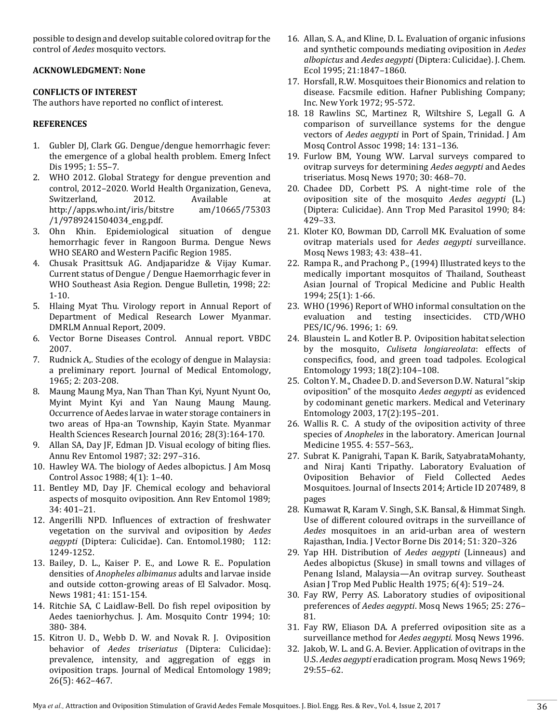possible to design and develop suitable colored ovitrap for the control of *Aedes* mosquito vectors.

## **ACKNOWLEDGMENT: None**

## **CONFLICTS OF INTEREST**

The authors have reported no conflict of interest.

## **REFERENCES**

- 1. Gubler DJ, Clark GG. Dengue/dengue hemorrhagic fever: the emergence of a global health problem. Emerg Infect Dis 1995; 1: 55–7.
- 2. WHO 2012. Global Strategy for dengue prevention and control, 2012–2020. World Health Organization, Geneva, Switzerland, 2012. Available at http://apps.who.int/iris/bitstre am/10665/75303 /1/9789241504034\_eng.pdf.
- 3. Ohn Khin. Epidemiological situation of dengue hemorrhagic fever in Rangoon Burma. Dengue News WHO SEARO and Western Pacific Region 1985.
- 4. Chusak Prasittsuk AG. Andjaparidze & Vijay Kumar. Current status of Dengue / Dengue Haemorrhagic fever in WHO Southeast Asia Region. Dengue Bulletin, 1998; 22: 1-10.
- 5. Hlaing Myat Thu. Virology report in Annual Report of Department of Medical Research Lower Myanmar. DMRLM Annual Report, 2009.
- 6. Vector Borne Diseases Control. Annual report. VBDC 2007.
- 7. Rudnick A,. Studies of the ecology of dengue in Malaysia: a preliminary report. Journal of Medical Entomology, 1965; 2: 203-208.
- 8. Maung Maung Mya, Nan Than Than Kyi, Nyunt Nyunt Oo, Myint Myint Kyi and Yan Naung Maung Maung. Occurrence of Aedes larvae in water storage containers in two areas of Hpa-an Township, Kayin State. Myanmar Health Sciences Research Journal 2016; 28(3):164-170.
- 9. Allan SA, Day JF, Edman JD. Visual ecology of biting flies. Annu Rev Entomol 1987; 32: 297–316.
- 10. Hawley WA. The biology of Aedes albopictus. J Am Mosq Control Assoc 1988; 4(1): 1–40.
- 11. Bentley MD, Day JF. Chemical ecology and behavioral aspects of mosquito oviposition. Ann Rev Entomol 1989; 34: 401–21.
- 12. Angerilli NPD. Influences of extraction of freshwater vegetation on the survival and oviposition by *Aedes aegypti* (Diptera: Culicidae). Can. Entomol.1980; 112: 1249-1252.
- 13. Bailey, D. L., Kaiser P. E., and Lowe R. E.. Population densities of *Anopheles albimanus* adults and larvae inside and outside cotton-growing areas of El Salvador. Mosq. News 1981; 41: 151-154.
- 14. Ritchie SA, C Laidlaw-Bell. Do fish repel oviposition by Aedes taeniorhychus. J. Am. Mosquito Contr 1994; 10: 380- 384.
- 15. Kitron U. D., Webb D. W. and Novak R. J. Oviposition behavior of *Aedes triseriatus* (Diptera: Culicidae): prevalence, intensity, and aggregation of eggs in oviposition traps. Journal of Medical Entomology 1989; 26(5): 462–467.
- 16. Allan, S. A., and Kline, D. L. Evaluation of organic infusions and synthetic compounds mediating oviposition in *Aedes albopictus* and *Aedes aegypti* (Diptera: Culicidae). J. Chem. Ecol 1995; 21:1847–1860.
- 17. Horsfall, R.W. Mosquitoes their Bionomics and relation to disease. Facsmile edition. Hafner Publishing Company; Inc. New York 1972; 95-572.
- 18. 18 Rawlins SC, Martinez R, Wiltshire S, Legall G. A comparison of surveillance systems for the dengue vectors of *Aedes aegypti* in Port of Spain, Trinidad. J Am Mosq Control Assoc 1998; 14: 131–136.
- 19. Furlow BM, Young WW. Larval surveys compared to ovitrap surveys for determining *Aedes aegypti* and Aedes triseriatus. Mosq News 1970; 30: 468–70.
- 20. Chadee DD, Corbett PS. A night-time role of the oviposition site of the mosquito *Aedes aegypti* (L.) (Diptera: Culicidae). Ann Trop Med Parasitol 1990; 84: 429–33.
- 21. Kloter KO, Bowman DD, Carroll MK. Evaluation of some ovitrap materials used for *Aedes aegypti* surveillance. Mosq News 1983; 43: 438–41.
- 22. Rampa R., and Prachong P., (1994) Illustrated keys to the medically important mosquitos of Thailand, Southeast Asian Journal of Tropical Medicine and Public Health 1994; 25(1): 1-66.
- 23. WHO (1996) Report of WHO informal consultation on the evaluation and testing insecticides. CTD/WHO PES/IC/96. 1996; 1: 69.
- 24. Blaustein L. and Kotler B. P. Oviposition habitat selection by the mosquito, *Culiseta longiareolata*: effects of conspecifics, food, and green toad tadpoles. Ecological Entomology 1993; 18(2):104–108.
- 25. Colton Y. M., Chadee D. D. and Severson D.W. Natural "skip oviposition" of the mosquito *Aedes aegypti* as evidenced by codominant genetic markers. Medical and Veterinary Entomology 2003, 17(2):195–201.
- 26. Wallis R. C. A study of the oviposition activity of three species of *Anopheles* in the laboratory. American Journal Medicine 1955. 4: 557–563,.
- 27. Subrat K. Panigrahi, Tapan K. Barik, SatyabrataMohanty, and Niraj Kanti Tripathy. Laboratory Evaluation of Oviposition Behavior of Field Collected Aedes Mosquitoes. Journal of Insects 2014; Article ID 207489, 8 pages
- 28. Kumawat R, Karam V. Singh, S.K. Bansal, & Himmat Singh. Use of different coloured ovitraps in the surveillance of *Aedes* mosquitoes in an arid-urban area of western Rajasthan, India. J Vector Borne Dis 2014; 51: 320–326
- 29. Yap HH. Distribution of *Aedes aegypti* (Linneaus) and Aedes albopictus (Skuse) in small towns and villages of Penang Island, Malaysia—An ovitrap survey. Southeast Asian J Trop Med Public Health 1975; 6(4): 519–24.
- 30. Fay RW, Perry AS. Laboratory studies of ovipositional preferences of *Aedes aegypti*. Mosq News 1965; 25: 276– 81.
- 31. Fay RW, Eliason DA. A preferred oviposition site as a surveillance method for *Aedes aegypti*. Mosq News 1996.
- 32. Jakob, W. L. and G. A. Bevier. Application of ovitraps in the U.S. *Aedes aegypti* eradication program. Mosq News 1969; 29:55–62.